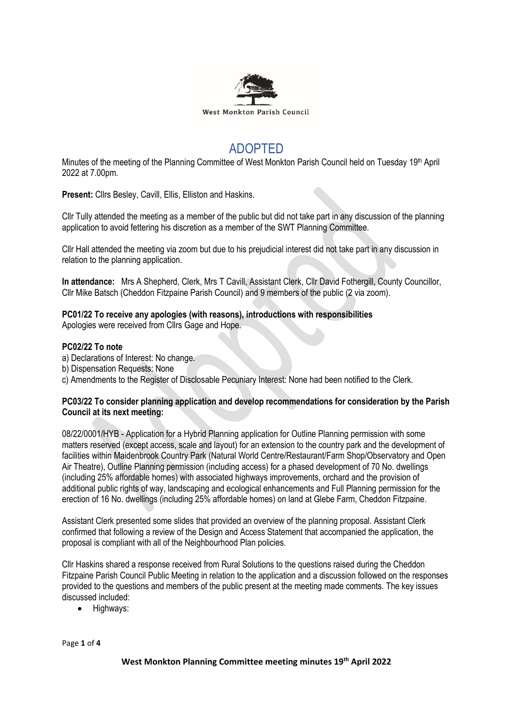

# ADOPTED

Minutes of the meeting of the Planning Committee of West Monkton Parish Council held on Tuesday 19<sup>th</sup> April 2022 at 7.00pm.

**Present:** Cllrs Besley, Cavill, Ellis, Elliston and Haskins.

Cllr Tully attended the meeting as a member of the public but did not take part in any discussion of the planning application to avoid fettering his discretion as a member of the SWT Planning Committee.

Cllr Hall attended the meeting via zoom but due to his prejudicial interest did not take part in any discussion in relation to the planning application.

**In attendance:** Mrs A Shepherd, Clerk, Mrs T Cavill, Assistant Clerk, Cllr David Fothergill, County Councillor, Cllr Mike Batsch (Cheddon Fitzpaine Parish Council) and 9 members of the public (2 via zoom).

#### **PC01/22 To receive any apologies (with reasons), introductions with responsibilities** Apologies were received from Cllrs Gage and Hope.

## **PC02/22 To note**

- a) Declarations of Interest: No change.
- b) Dispensation Requests: None

c) Amendments to the Register of Disclosable Pecuniary Interest: None had been notified to the Clerk.

## **PC03/22 To consider planning application and develop recommendations for consideration by the Parish Council at its next meeting:**

08/22/0001/HYB - Application for a Hybrid Planning application for Outline Planning permission with some matters reserved (except access, scale and layout) for an extension to the country park and the development of facilities within Maidenbrook Country Park (Natural World Centre/Restaurant/Farm Shop/Observatory and Open Air Theatre), Outline Planning permission (including access) for a phased development of 70 No. dwellings (including 25% affordable homes) with associated highways improvements, orchard and the provision of additional public rights of way, landscaping and ecological enhancements and Full Planning permission for the erection of 16 No. dwellings (including 25% affordable homes) on land at Glebe Farm, Cheddon Fitzpaine.

Assistant Clerk presented some slides that provided an overview of the planning proposal. Assistant Clerk confirmed that following a review of the Design and Access Statement that accompanied the application, the proposal is compliant with all of the Neighbourhood Plan policies.

Cllr Haskins shared a response received from Rural Solutions to the questions raised during the Cheddon Fitzpaine Parish Council Public Meeting in relation to the application and a discussion followed on the responses provided to the questions and members of the public present at the meeting made comments. The key issues discussed included:

• Highways:

Page **1** of **4**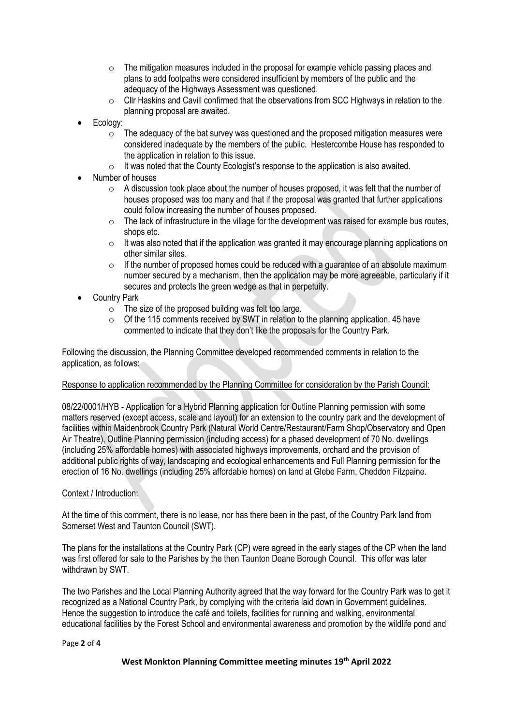- $\circ$  The mitigation measures included in the proposal for example vehicle passing places and plans to add footpaths were considered insufficient by members of the public and the adequacy of the Highways Assessment was questioned.
- o Cllr Haskins and Cavill confirmed that the observations from SCC Highways in relation to the planning proposal are awaited.
- Ecology:
	- $\circ$  The adequacy of the bat survey was questioned and the proposed mitigation measures were considered inadequate by the members of the public. Hestercombe House has responded to the application in relation to this issue.
	- o It was noted that the County Ecologist's response to the application is also awaited.
- Number of houses
	- $\circ$  A discussion took place about the number of houses proposed, it was felt that the number of houses proposed was too many and that if the proposal was granted that further applications could follow increasing the number of houses proposed.
	- $\circ$  The lack of infrastructure in the village for the development was raised for example bus routes, shops etc.
	- $\circ$  It was also noted that if the application was granted it may encourage planning applications on other similar sites.
	- $\circ$  If the number of proposed homes could be reduced with a guarantee of an absolute maximum number secured by a mechanism, then the application may be more agreeable, particularly if it secures and protects the green wedge as that in perpetuity.
- Country Park
	- $\circ$  The size of the proposed building was felt too large.
	- o Of the 115 comments received by SWT in relation to the planning application, 45 have commented to indicate that they don't like the proposals for the Country Park.

Following the discussion, the Planning Committee developed recommended comments in relation to the application, as follows:

## Response to application recommended by the Planning Committee for consideration by the Parish Council:

08/22/0001/HYB - Application for a Hybrid Planning application for Outline Planning permission with some matters reserved (except access, scale and layout) for an extension to the country park and the development of facilities within Maidenbrook Country Park (Natural World Centre/Restaurant/Farm Shop/Observatory and Open Air Theatre), Outline Planning permission (including access) for a phased development of 70 No. dwellings (including 25% affordable homes) with associated highways improvements, orchard and the provision of additional public rights of way, landscaping and ecological enhancements and Full Planning permission for the erection of 16 No. dwellings (including 25% affordable homes) on land at Glebe Farm, Cheddon Fitzpaine.

## Context / Introduction:

At the time of this comment, there is no lease, nor has there been in the past, of the Country Park land from Somerset West and Taunton Council (SWT).

The plans for the installations at the Country Park (CP) were agreed in the early stages of the CP when the land was first offered for sale to the Parishes by the then Taunton Deane Borough Council. This offer was later withdrawn by SWT.

The two Parishes and the Local Planning Authority agreed that the way forward for the Country Park was to get it recognized as a National Country Park, by complying with the criteria laid down in Government guidelines. Hence the suggestion to introduce the café and toilets, facilities for running and walking, environmental educational facilities by the Forest School and environmental awareness and promotion by the wildlife pond and

#### Page **2** of **4**

## **West Monkton Planning Committee meeting minutes 19 th April 2022**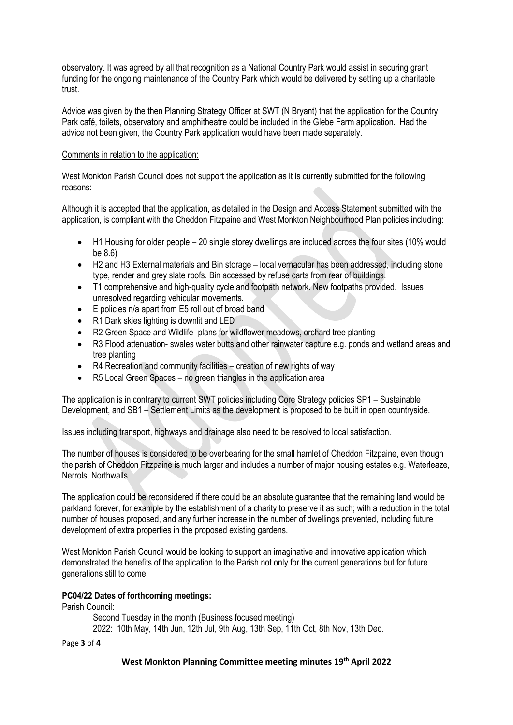observatory. It was agreed by all that recognition as a National Country Park would assist in securing grant funding for the ongoing maintenance of the Country Park which would be delivered by setting up a charitable trust.

Advice was given by the then Planning Strategy Officer at SWT (N Bryant) that the application for the Country Park café, toilets, observatory and amphitheatre could be included in the Glebe Farm application. Had the advice not been given, the Country Park application would have been made separately.

## Comments in relation to the application:

West Monkton Parish Council does not support the application as it is currently submitted for the following reasons:

Although it is accepted that the application, as detailed in the Design and Access Statement submitted with the application, is compliant with the Cheddon Fitzpaine and West Monkton Neighbourhood Plan policies including:

- H1 Housing for older people 20 single storey dwellings are included across the four sites (10% would be 8.6)
- H2 and H3 External materials and Bin storage local vernacular has been addressed, including stone type, render and grey slate roofs. Bin accessed by refuse carts from rear of buildings.
- T1 comprehensive and high-quality cycle and footpath network. New footpaths provided. Issues unresolved regarding vehicular movements.
- E policies n/a apart from E5 roll out of broad band
- R1 Dark skies lighting is downlit and LED
- R2 Green Space and Wildlife- plans for wildflower meadows, orchard tree planting
- R3 Flood attenuation- swales water butts and other rainwater capture e.g. ponds and wetland areas and tree planting
- R4 Recreation and community facilities creation of new rights of way
- R5 Local Green Spaces no green triangles in the application area

The application is in contrary to current SWT policies including Core Strategy policies SP1 – Sustainable Development, and SB1 – Settlement Limits as the development is proposed to be built in open countryside.

Issues including transport, highways and drainage also need to be resolved to local satisfaction.

The number of houses is considered to be overbearing for the small hamlet of Cheddon Fitzpaine, even though the parish of Cheddon Fitzpaine is much larger and includes a number of major housing estates e.g. Waterleaze, Nerrols, Northwalls.

The application could be reconsidered if there could be an absolute guarantee that the remaining land would be parkland forever, for example by the establishment of a charity to preserve it as such; with a reduction in the total number of houses proposed, and any further increase in the number of dwellings prevented, including future development of extra properties in the proposed existing gardens.

West Monkton Parish Council would be looking to support an imaginative and innovative application which demonstrated the benefits of the application to the Parish not only for the current generations but for future generations still to come.

# **PC04/22 Dates of forthcoming meetings:**

Parish Council:

Second Tuesday in the month (Business focused meeting) 2022: 10th May, 14th Jun, 12th Jul, 9th Aug, 13th Sep, 11th Oct, 8th Nov, 13th Dec.

Page **3** of **4**

## **West Monkton Planning Committee meeting minutes 19 th April 2022**